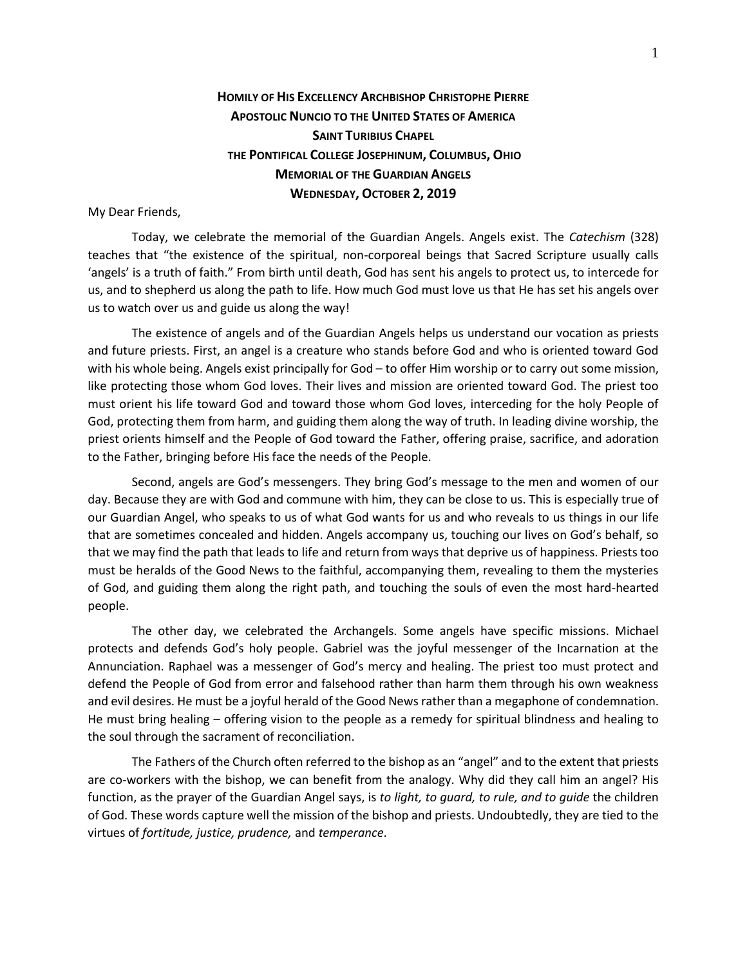## **HOMILY OF HIS EXCELLENCY ARCHBISHOP CHRISTOPHE PIERRE APOSTOLIC NUNCIO TO THE UNITED STATES OF AMERICA SAINT TURIBIUS CHAPEL THE PONTIFICAL COLLEGE JOSEPHINUM, COLUMBUS, OHIO MEMORIAL OF THE GUARDIAN ANGELS WEDNESDAY, OCTOBER 2, 2019**

## My Dear Friends,

Today, we celebrate the memorial of the Guardian Angels. Angels exist. The *Catechism* (328) teaches that "the existence of the spiritual, non-corporeal beings that Sacred Scripture usually calls 'angels' is a truth of faith." From birth until death, God has sent his angels to protect us, to intercede for us, and to shepherd us along the path to life. How much God must love us that He has set his angels over us to watch over us and guide us along the way!

The existence of angels and of the Guardian Angels helps us understand our vocation as priests and future priests. First, an angel is a creature who stands before God and who is oriented toward God with his whole being. Angels exist principally for God – to offer Him worship or to carry out some mission, like protecting those whom God loves. Their lives and mission are oriented toward God. The priest too must orient his life toward God and toward those whom God loves, interceding for the holy People of God, protecting them from harm, and guiding them along the way of truth. In leading divine worship, the priest orients himself and the People of God toward the Father, offering praise, sacrifice, and adoration to the Father, bringing before His face the needs of the People.

Second, angels are God's messengers. They bring God's message to the men and women of our day. Because they are with God and commune with him, they can be close to us. This is especially true of our Guardian Angel, who speaks to us of what God wants for us and who reveals to us things in our life that are sometimes concealed and hidden. Angels accompany us, touching our lives on God's behalf, so that we may find the path that leads to life and return from ways that deprive us of happiness. Priests too must be heralds of the Good News to the faithful, accompanying them, revealing to them the mysteries of God, and guiding them along the right path, and touching the souls of even the most hard-hearted people.

The other day, we celebrated the Archangels. Some angels have specific missions. Michael protects and defends God's holy people. Gabriel was the joyful messenger of the Incarnation at the Annunciation. Raphael was a messenger of God's mercy and healing. The priest too must protect and defend the People of God from error and falsehood rather than harm them through his own weakness and evil desires. He must be a joyful herald of the Good News rather than a megaphone of condemnation. He must bring healing – offering vision to the people as a remedy for spiritual blindness and healing to the soul through the sacrament of reconciliation.

The Fathers of the Church often referred to the bishop as an "angel" and to the extent that priests are co-workers with the bishop, we can benefit from the analogy. Why did they call him an angel? His function, as the prayer of the Guardian Angel says, is *to light, to guard, to rule, and to guide* the children of God. These words capture well the mission of the bishop and priests. Undoubtedly, they are tied to the virtues of *fortitude, justice, prudence,* and *temperance*.